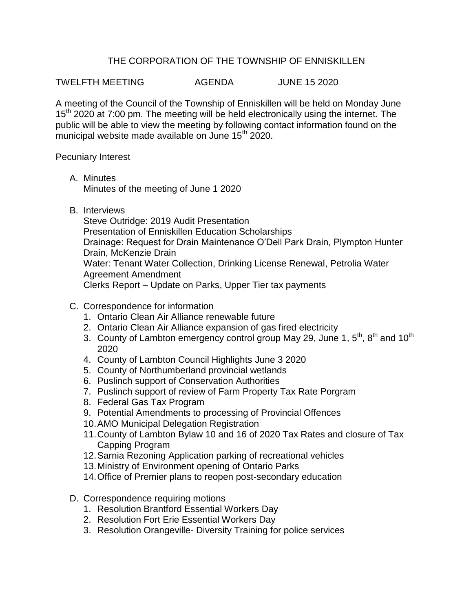## THE CORPORATION OF THE TOWNSHIP OF ENNISKILLEN

TWELFTH MEETING AGENDA JUNE 15 2020

A meeting of the Council of the Township of Enniskillen will be held on Monday June 15<sup>th</sup> 2020 at 7:00 pm. The meeting will be held electronically using the internet. The public will be able to view the meeting by following contact information found on the municipal website made available on June 15<sup>th</sup> 2020.

Pecuniary Interest

A. Minutes

Minutes of the meeting of June 1 2020

B. Interviews

Steve Outridge: 2019 Audit Presentation Presentation of Enniskillen Education Scholarships Drainage: Request for Drain Maintenance O'Dell Park Drain, Plympton Hunter Drain, McKenzie Drain Water: Tenant Water Collection, Drinking License Renewal, Petrolia Water Agreement Amendment Clerks Report – Update on Parks, Upper Tier tax payments

- C. Correspondence for information
	- 1. Ontario Clean Air Alliance renewable future
	- 2. Ontario Clean Air Alliance expansion of gas fired electricity
	- 3. County of Lambton emergency control group May 29, June 1,  $5<sup>th</sup>$ ,  $8<sup>th</sup>$  and 10<sup>th</sup> 2020
	- 4. County of Lambton Council Highlights June 3 2020
	- 5. County of Northumberland provincial wetlands
	- 6. Puslinch support of Conservation Authorities
	- 7. Puslinch support of review of Farm Property Tax Rate Porgram
	- 8. Federal Gas Tax Program
	- 9. Potential Amendments to processing of Provincial Offences
	- 10.AMO Municipal Delegation Registration
	- 11.County of Lambton Bylaw 10 and 16 of 2020 Tax Rates and closure of Tax Capping Program
	- 12.Sarnia Rezoning Application parking of recreational vehicles
	- 13.Ministry of Environment opening of Ontario Parks
	- 14.Office of Premier plans to reopen post-secondary education
- D. Correspondence requiring motions
	- 1. Resolution Brantford Essential Workers Day
	- 2. Resolution Fort Erie Essential Workers Day
	- 3. Resolution Orangeville- Diversity Training for police services